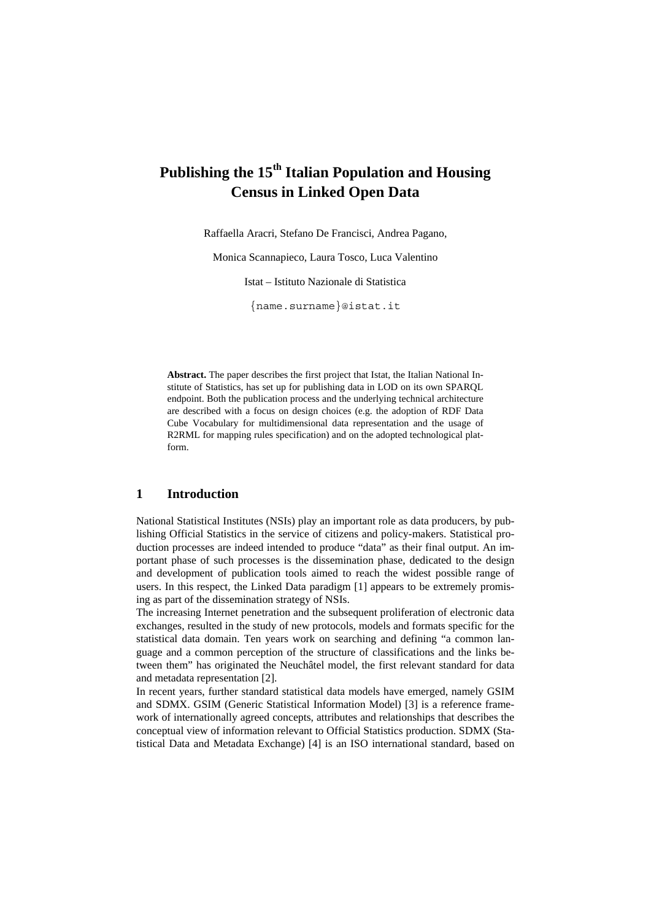# Publishing the 15<sup>th</sup> Italian Population and Housing **Census in Linked Open Data**

Raffaella Aracri, Stefano De Francisci, Andrea Pagano,

Monica Scannapieco, Laura Tosco, Luca Valentino

Istat - Istituto Nazionale di Statistica

{name.surname}@istat.it

Abstract. The paper describes the first project that Istat, the Italian National Institute of Statistics, has set up for publishing data in LOD on its own SPARQL endpoint. Both the publication process and the underlying technical architecture are described with a focus on design choices (e.g. the adoption of RDF Data Cube Vocabulary for multidimensional data representation and the usage of R2RML for mapping rules specification) and on the adopted technological platform.

#### $\mathbf{1}$ **Introduction**

National Statistical Institutes (NSIs) play an important role as data producers, by publishing Official Statistics in the service of citizens and policy-makers. Statistical production processes are indeed intended to produce "data" as their final output. An important phase of such processes is the dissemination phase, dedicated to the design and development of publication tools aimed to reach the widest possible range of users. In this respect, the Linked Data paradigm [1] appears to be extremely promising as part of the dissemination strategy of NSIs.

The increasing Internet penetration and the subsequent proliferation of electronic data exchanges, resulted in the study of new protocols, models and formats specific for the statistical data domain. Ten years work on searching and defining "a common language and a common perception of the structure of classifications and the links between them" has originated the Neuchâtel model, the first relevant standard for data and metadata representation [2].

In recent years, further standard statistical data models have emerged, namely GSIM and SDMX. GSIM (Generic Statistical Information Model) [3] is a reference framework of internationally agreed concepts, attributes and relationships that describes the conceptual view of information relevant to Official Statistics production. SDMX (Statistical Data and Metadata Exchange) [4] is an ISO international standard, based on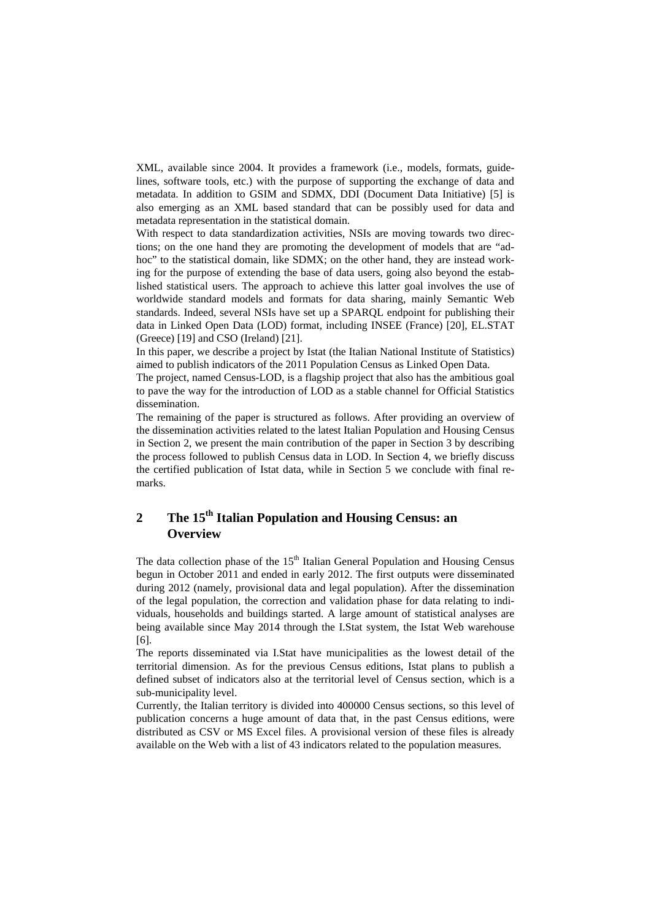XML, available since 2004. It provides a framework (i.e., models, formats, guidelines, software tools, etc.) with the purpose of supporting the exchange of data and metadata. In addition to GSIM and SDMX, DDI (Document Data Initiative) [5] is also emerging as an XML based standard that can be possibly used for data and metadata representation in the statistical domain.

With respect to data standardization activities, NSIs are moving towards two directions; on the one hand they are promoting the development of models that are "adhoc" to the statistical domain, like SDMX; on the other hand, they are instead working for the purpose of extending the base of data users, going also beyond the established statistical users. The approach to achieve this latter goal involves the use of worldwide standard models and formats for data sharing, mainly Semantic Web standards. Indeed, several NSIs have set up a SPARQL endpoint for publishing their data in Linked Open Data (LOD) format, including INSEE (France) [20], EL.STAT (Greece) [19] and CSO (Ireland) [21].

In this paper, we describe a project by Istat (the Italian National Institute of Statistics) aimed to publish indicators of the 2011 Population Census as Linked Open Data.

The project, named Census-LOD, is a flagship project that also has the ambitious goal to pave the way for the introduction of LOD as a stable channel for Official Statistics dissemination.

The remaining of the paper is structured as follows. After providing an overview of the dissemination activities related to the latest Italian Population and Housing Census in Section 2, we present the main contribution of the paper in Section 3 by describing the process followed to publish Census data in LOD. In Section 4, we briefly discuss the certified publication of Istat data, while in Section 5 we conclude with final remarks.

### The 15<sup>th</sup> Italian Population and Housing Census: an  $\overline{2}$ **Overview**

The data collection phase of the 15<sup>th</sup> Italian General Population and Housing Census begun in October 2011 and ended in early 2012. The first outputs were disseminated during 2012 (namely, provisional data and legal population). After the dissemination of the legal population, the correction and validation phase for data relating to individuals, households and buildings started. A large amount of statistical analyses are being available since May 2014 through the I.Stat system, the Istat Web warehouse  $[6]$ .

The reports disseminated via I.Stat have municipalities as the lowest detail of the territorial dimension. As for the previous Census editions, Istat plans to publish a defined subset of indicators also at the territorial level of Census section, which is a sub-municipality level.

Currently, the Italian territory is divided into 400000 Census sections, so this level of publication concerns a huge amount of data that, in the past Census editions, were distributed as CSV or MS Excel files. A provisional version of these files is already available on the Web with a list of 43 indicators related to the population measures.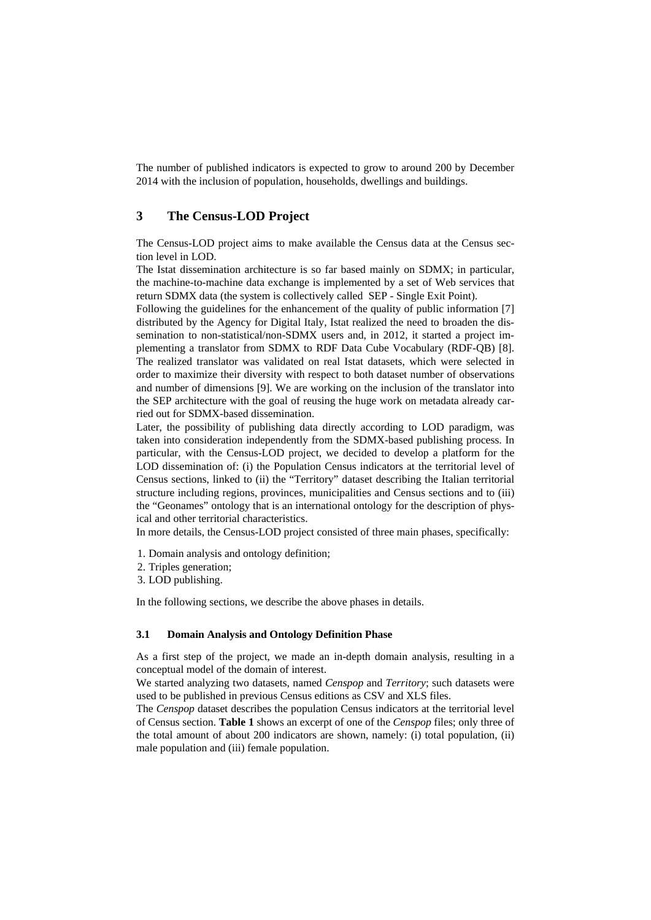The number of published indicators is expected to grow to around 200 by December 2014 with the inclusion of population, households, dwellings and buildings.

#### 3 **The Census-LOD Project**

The Census-LOD project aims to make available the Census data at the Census section level in LOD.

The Istat dissemination architecture is so far based mainly on SDMX; in particular, the machine-to-machine data exchange is implemented by a set of Web services that return SDMX data (the system is collectively called SEP - Single Exit Point).

Following the guidelines for the enhancement of the quality of public information [7] distributed by the Agency for Digital Italy, Istat realized the need to broaden the dissemination to non-statistical/non-SDMX users and, in 2012, it started a project implementing a translator from SDMX to RDF Data Cube Vocabulary (RDF-QB) [8]. The realized translator was validated on real Istat datasets, which were selected in order to maximize their diversity with respect to both dataset number of observations and number of dimensions [9]. We are working on the inclusion of the translator into the SEP architecture with the goal of reusing the huge work on metadata already carried out for SDMX-based dissemination.

Later, the possibility of publishing data directly according to LOD paradigm, was taken into consideration independently from the SDMX-based publishing process. In particular, with the Census-LOD project, we decided to develop a platform for the LOD dissemination of: (i) the Population Census indicators at the territorial level of Census sections, linked to (ii) the "Territory" dataset describing the Italian territorial structure including regions, provinces, municipalities and Census sections and to (iii) the "Geonames" ontology that is an international ontology for the description of physical and other territorial characteristics.

In more details, the Census-LOD project consisted of three main phases, specifically:

- 1. Domain analysis and ontology definition;
- 2. Triples generation;
- 3. LOD publishing.

In the following sections, we describe the above phases in details.

#### $3.1$ **Domain Analysis and Ontology Definition Phase**

As a first step of the project, we made an in-depth domain analysis, resulting in a conceptual model of the domain of interest.

We started analyzing two datasets, named *Censpop* and *Territory*; such datasets were used to be published in previous Census editions as CSV and XLS files.

The Censpop dataset describes the population Census indicators at the territorial level of Census section. Table 1 shows an excerpt of one of the Censpop files; only three of the total amount of about 200 indicators are shown, namely: (i) total population, (ii) male population and (iii) female population.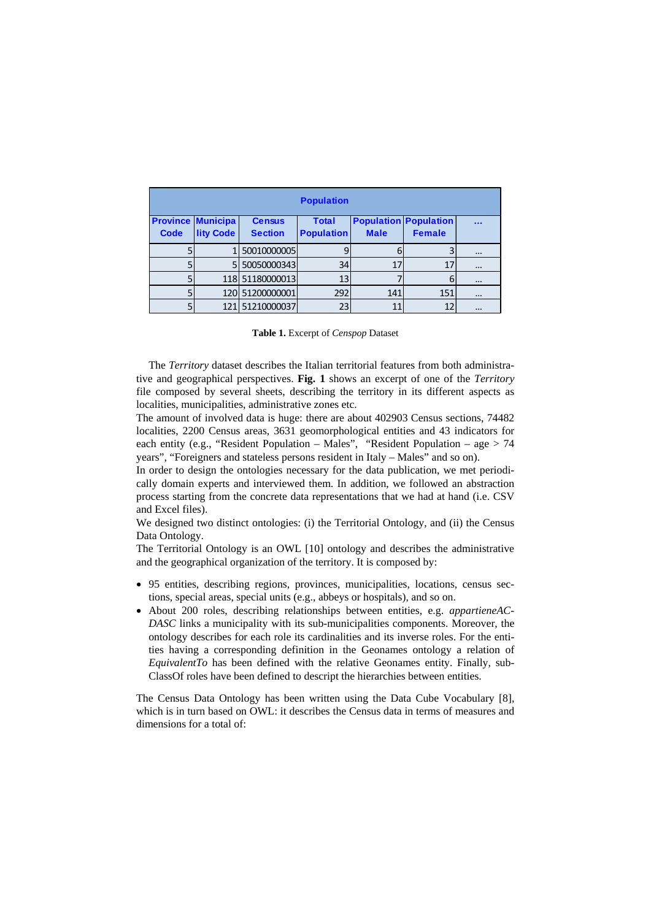| <b>Population</b> |                          |                 |                   |             |                              |          |  |
|-------------------|--------------------------|-----------------|-------------------|-------------|------------------------------|----------|--|
|                   | <b>Province Municipa</b> | <b>Census</b>   | <b>Total</b>      |             | <b>Population Population</b> |          |  |
| <b>Code</b>       | <b>lity Code</b>         | <b>Section</b>  | <b>Population</b> | <b>Male</b> | <b>Female</b>                |          |  |
|                   |                          | 50010000005     |                   |             |                              | $\cdots$ |  |
|                   | 5                        | 50050000343     | 34                | 17          | 17                           | $\cdots$ |  |
|                   |                          | 118 51180000013 | 13                |             |                              | $\cdots$ |  |
|                   |                          | 120 51200000001 | 292               | 141         | 151                          | $\cdots$ |  |
|                   |                          | 51210000037     | 23                | $1^{\circ}$ | 12                           | $\cdots$ |  |

| Table 1. Excerpt of Censpop Dataset |
|-------------------------------------|
|-------------------------------------|

The Territory dataset describes the Italian territorial features from both administrative and geographical perspectives. Fig. 1 shows an excerpt of one of the Territory file composed by several sheets, describing the territory in its different aspects as localities, municipalities, administrative zones etc.

The amount of involved data is huge: there are about 402903 Census sections, 74482 localities, 2200 Census areas, 3631 geomorphological entities and 43 indicators for each entity (e.g., "Resident Population – Males", "Resident Population – age > 74 vears". "Foreigners and stateless persons resident in Italy  $-$  Males" and so on).

In order to design the ontologies necessary for the data publication, we met periodically domain experts and interviewed them. In addition, we followed an abstraction process starting from the concrete data representations that we had at hand (i.e. CSV) and Excel files).

We designed two distinct ontologies: (i) the Territorial Ontology, and (ii) the Census Data Ontology.

The Territorial Ontology is an OWL [10] ontology and describes the administrative and the geographical organization of the territory. It is composed by:

- 95 entities, describing regions, provinces, municipalities, locations, census sections, special areas, special units (e.g., abbeys or hospitals), and so on.
- About 200 roles, describing relationships between entities, e.g. appartieneAC-DASC links a municipality with its sub-municipalities components. Moreover, the ontology describes for each role its cardinalities and its inverse roles. For the entities having a corresponding definition in the Geonames ontology a relation of EquivalentTo has been defined with the relative Geonames entity. Finally, sub-ClassOf roles have been defined to descript the hierarchies between entities.

The Census Data Ontology has been written using the Data Cube Vocabulary [8], which is in turn based on OWL: it describes the Census data in terms of measures and dimensions for a total of: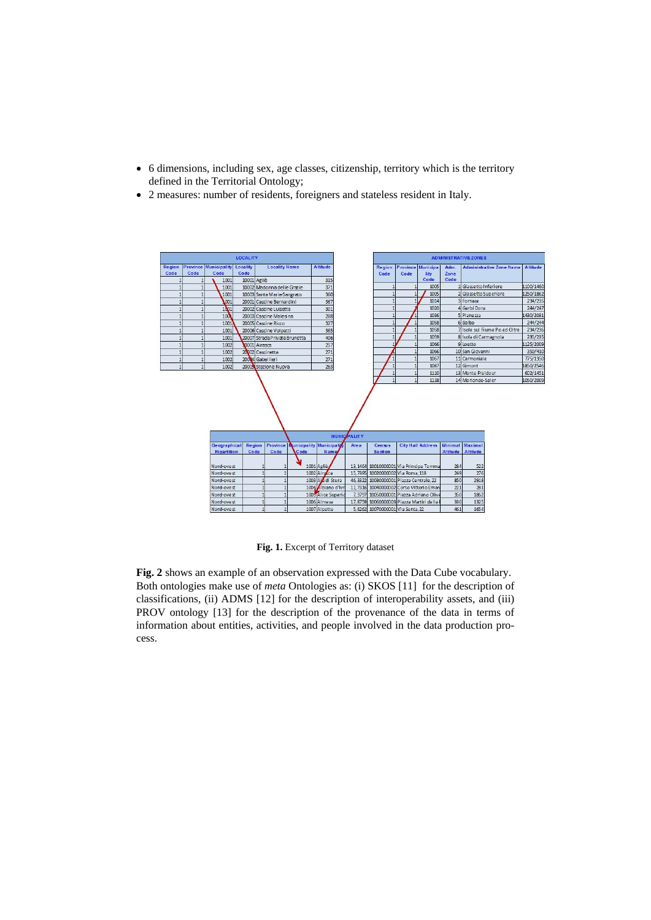- 6 dimensions, including sex, age classes, citizenship, territory which is the territory  $\bullet$ defined in the Territorial Ontology;
- 2 measures: number of residents, foreigners and stateless resident in Italy.  $\bullet$



Fig. 1. Excerpt of Territory dataset

Fig. 2 shows an example of an observation expressed with the Data Cube vocabulary. Both ontologies make use of meta Ontologies as: (i) SKOS [11] for the description of classifications, (ii) ADMS [12] for the description of interoperability assets, and (iii) PROV ontology [13] for the description of the provenance of the data in terms of information about entities, activities, and people involved in the data production process.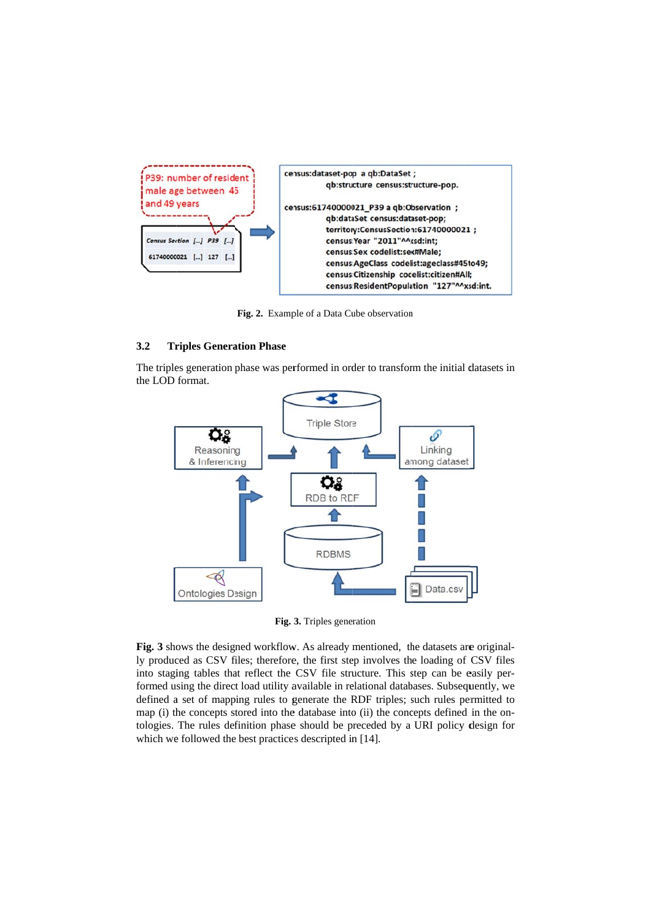

Fig. 2. Example of a Data Cube observation

#### $3.2$ **Triples Generation Phase**

The triples generation phase was performed in order to transform the initial datasets in the LOD format.



Fig. 3. Triples generation

Fig. 3 shows the designed workflow. As already mentioned, the datasets are originally produced as CSV files; therefore, the first step involves the loading of CSV files into staging tables that reflect the CSV file structure. This step can be easily performed using the direct load utility available in relational databases. Subsequently, we defined a set of mapping rules to generate the RDF triples; such rules permitted to map (i) the concepts stored into the database into (ii) the concepts defined in the ontologies. The rules definition phase should be preceded by a URI policy design for which we followed the best practices descripted in [14].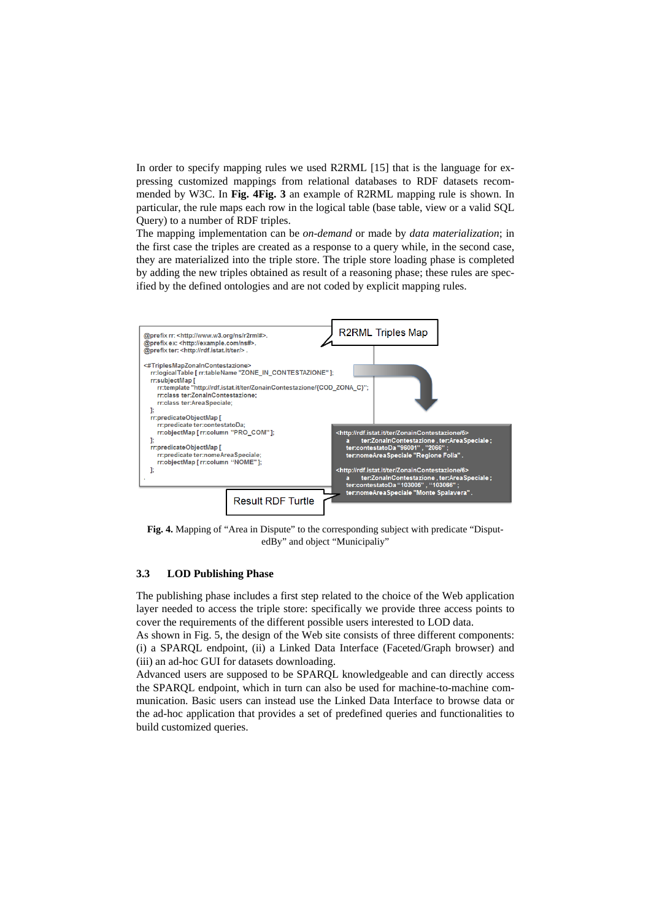In order to specify mapping rules we used R2RML [15] that is the language for expressing customized mappings from relational databases to RDF datasets recommended by W3C. In Fig. 4Fig. 3 an example of R2RML mapping rule is shown. In particular, the rule maps each row in the logical table (base table, view or a valid SQL Query) to a number of RDF triples.

The mapping implementation can be on-demand or made by data materialization; in the first case the triples are created as a response to a query while, in the second case, they are materialized into the triple store. The triple store loading phase is completed by adding the new triples obtained as result of a reasoning phase; these rules are specified by the defined ontologies and are not coded by explicit mapping rules.



Fig. 4. Mapping of "Area in Dispute" to the corresponding subject with predicate "DisputedBy" and object "Municipaliy"

#### $3.3$ **LOD Publishing Phase**

The publishing phase includes a first step related to the choice of the Web application layer needed to access the triple store: specifically we provide three access points to cover the requirements of the different possible users interested to LOD data.

As shown in Fig. 5, the design of the Web site consists of three different components: (i) a SPARQL endpoint, (ii) a Linked Data Interface (Faceted/Graph browser) and (iii) an ad-hoc GUI for datasets downloading.

Advanced users are supposed to be SPARQL knowledgeable and can directly access the SPARQL endpoint, which in turn can also be used for machine-to-machine communication. Basic users can instead use the Linked Data Interface to browse data or the ad-hoc application that provides a set of predefined queries and functionalities to build customized queries.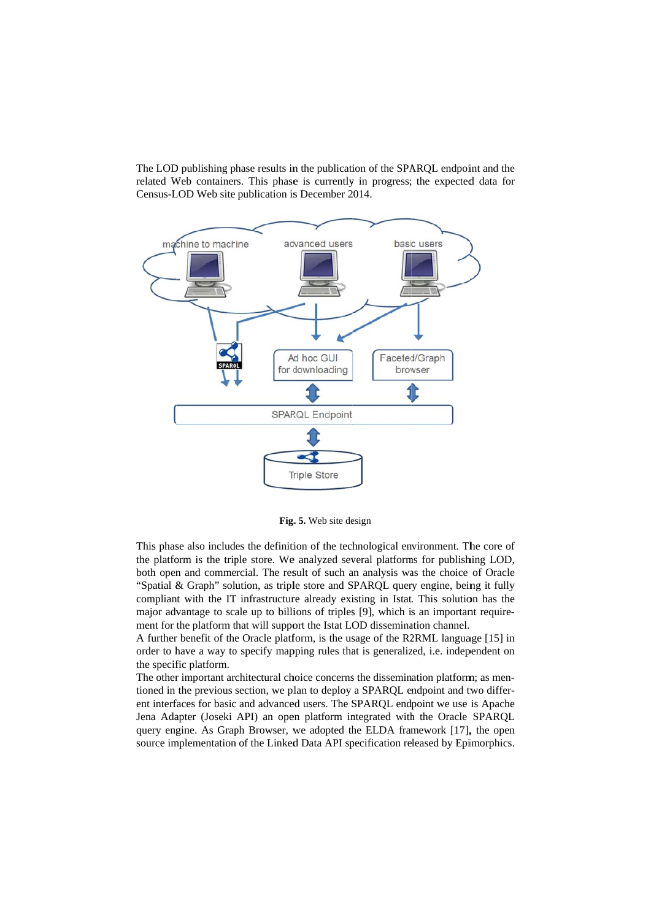The LOD publishing phase results in the publication of the SPARQL endpoint and the related Web containers. This phase is currently in progress; the expected data for Census-LOD Web site publication is December 2014.



Fig. 5. Web site design

This phase also includes the definition of the technological environment. The core of the platform is the triple store. We analyzed several platforms for publishing LOD, both open and commercial. The result of such an analysis was the choice of Oracle "Spatial & Graph" solution, as triple store and SPAROL query engine, being it fully compliant with the IT infrastructure already existing in Istat. This solution has the major advantage to scale up to billions of triples [9], which is an important requirement for the platform that will support the Istat LOD dissemination channel.

A further benefit of the Oracle platform, is the usage of the R2RML language [15] in order to have a way to specify mapping rules that is generalized, i.e. independent on the specific platform.

The other important architectural choice concerns the dissemination platform: as mentioned in the previous section, we plan to deploy a SPARQL endpoint and two different interfaces for basic and advanced users. The SPARQL endpoint we use is Apache Jena Adapter (Joseki API) an open platform integrated with the Oracle SPARQL query engine. As Graph Browser, we adopted the ELDA framework [17], the open source implementation of the Linked Data API specification released by Epimorphics.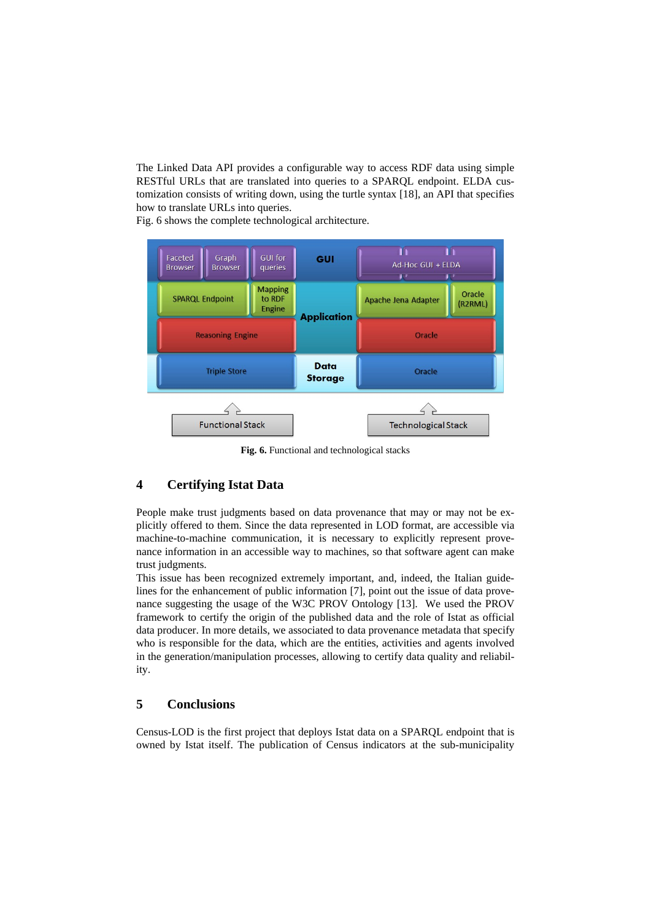The Linked Data API provides a configurable way to access RDF data using simple RESTful URLs that are translated into queries to a SPARQL endpoint. ELDA customization consists of writing down, using the turtle syntax [18], an API that specifies how to translate URLs into queries.

Fig. 6 shows the complete technological architecture.



Fig. 6. Functional and technological stacks

#### $\overline{\mathbf{4}}$ **Certifying Istat Data**

People make trust judgments based on data provenance that may or may not be explicitly offered to them. Since the data represented in LOD format, are accessible via machine-to-machine communication, it is necessary to explicitly represent provenance information in an accessible way to machines, so that software agent can make trust judgments.

This issue has been recognized extremely important, and, indeed, the Italian guidelines for the enhancement of public information [7], point out the issue of data provenance suggesting the usage of the W3C PROV Ontology [13]. We used the PROV framework to certify the origin of the published data and the role of Istat as official data producer. In more details, we associated to data provenance metadata that specify who is responsible for the data, which are the entities, activities and agents involved in the generation/manipulation processes, allowing to certify data quality and reliability.

#### 5 **Conclusions**

Census-LOD is the first project that deploys Istat data on a SPARQL endpoint that is owned by Istat itself. The publication of Census indicators at the sub-municipality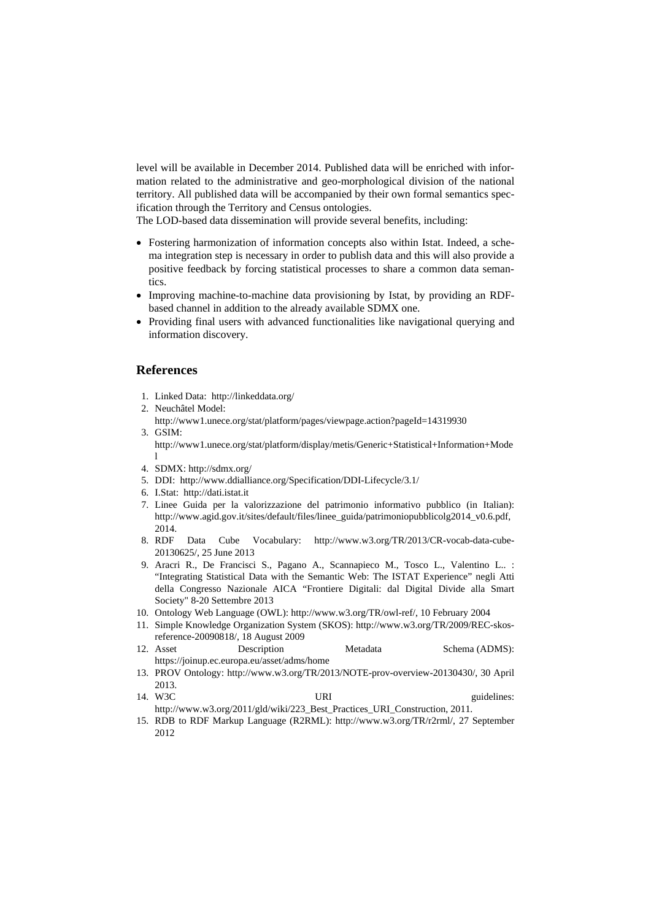level will be available in December 2014. Published data will be enriched with information related to the administrative and geo-morphological division of the national territory. All published data will be accompanied by their own formal semantics specification through the Territory and Census ontologies.

The LOD-based data dissemination will provide several benefits, including:

- Fostering harmonization of information concepts also within Istat. Indeed, a schema integration step is necessary in order to publish data and this will also provide a positive feedback by forcing statistical processes to share a common data semantics.
- Improving machine-to-machine data provisioning by Istat, by providing an RDF- $\bullet$ based channel in addition to the already available SDMX one.
- Providing final users with advanced functionalities like navigational querying and information discovery.

## **References**

- 1. Linked Data: http://linkeddata.org/
- 2. Neuchâtel Model:
- http://www1.unece.org/stat/platform/pages/viewpage.action?pageId=14319930 3. GSIM:

http://www1.unece.org/stat/platform/display/metis/Generic+Statistical+Information+Mode  $\mathbf{1}$ 

- 4. SDMX: http://sdmx.org/
- 5. DDI: http://www.ddialliance.org/Specification/DDI-Lifecycle/3.1/
- 6. I.Stat: http://dati.istat.it
- 7. Linee Guida per la valorizzazione del patrimonio informativo pubblico (in Italian): http://www.agid.gov.it/sites/default/files/linee\_guida/patrimoniopubblicolg2014\_v0.6.pdf,  $2014$
- 8. RDF Vocabulary: http://www.w3.org/TR/2013/CR-vocab-data-cube-Data Cube 20130625/, 25 June 2013
- 9. Aracri R., De Francisci S., Pagano A., Scannapieco M., Tosco L., Valentino L.. : "Integrating Statistical Data with the Semantic Web: The ISTAT Experience" negli Atti della Congresso Nazionale AICA "Frontiere Digitali: dal Digital Divide alla Smart Society" 8-20 Settembre 2013
- 10. Ontology Web Language (OWL): http://www.w3.org/TR/owl-ref/, 10 February 2004
- 11. Simple Knowledge Organization System (SKOS): http://www.w3.org/TR/2009/REC-skosreference-20090818/, 18 August 2009
- 12. Asset Description Metadata Schema (ADMS): https://joinup.ec.europa.eu/asset/adms/home
- 13. PROV Ontology: http://www.w3.org/TR/2013/NOTE-prov-overview-20130430/, 30 April 2013
- 14. W3C URI guidelines: http://www.w3.org/2011/gld/wiki/223 Best Practices URI Construction. 2011.
- 15. RDB to RDF Markup Language (R2RML): http://www.w3.org/TR/r2rml/, 27 September 2012